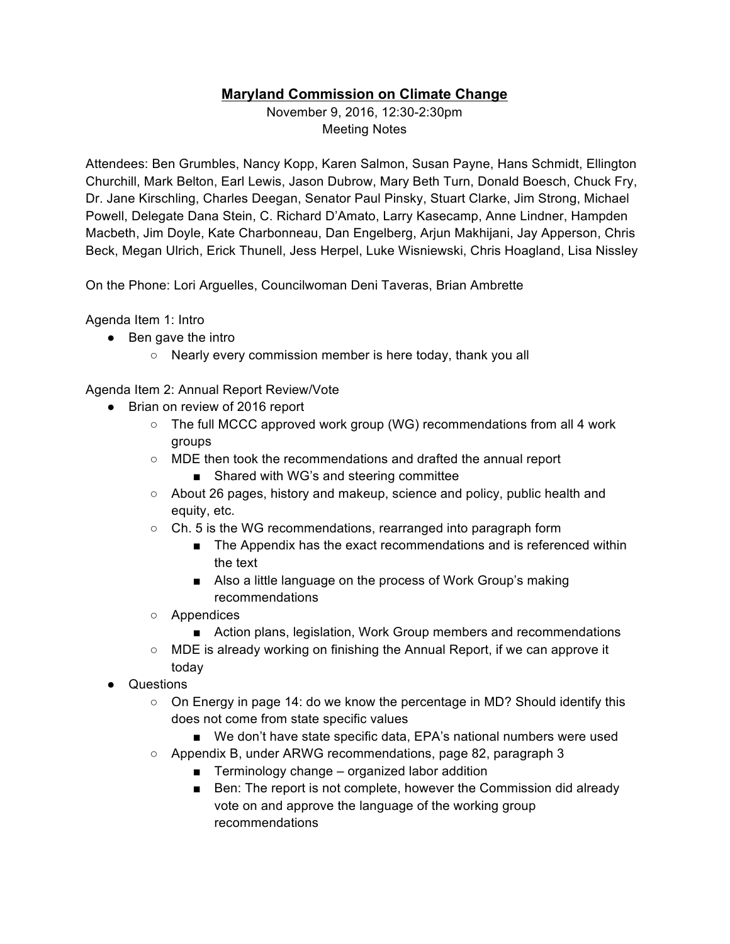## **Maryland Commission on Climate Change**

November 9, 2016, 12:30-2:30pm Meeting Notes

Attendees: Ben Grumbles, Nancy Kopp, Karen Salmon, Susan Payne, Hans Schmidt, Ellington Churchill, Mark Belton, Earl Lewis, Jason Dubrow, Mary Beth Turn, Donald Boesch, Chuck Fry, Dr. Jane Kirschling, Charles Deegan, Senator Paul Pinsky, Stuart Clarke, Jim Strong, Michael Powell, Delegate Dana Stein, C. Richard D'Amato, Larry Kasecamp, Anne Lindner, Hampden Macbeth, Jim Doyle, Kate Charbonneau, Dan Engelberg, Arjun Makhijani, Jay Apperson, Chris Beck, Megan Ulrich, Erick Thunell, Jess Herpel, Luke Wisniewski, Chris Hoagland, Lisa Nissley

On the Phone: Lori Arguelles, Councilwoman Deni Taveras, Brian Ambrette

Agenda Item 1: Intro

- Ben gave the intro
	- Nearly every commission member is here today, thank you all

Agenda Item 2: Annual Report Review/Vote

- Brian on review of 2016 report
	- $\circ$  The full MCCC approved work group (WG) recommendations from all 4 work groups
	- MDE then took the recommendations and drafted the annual report
		- Shared with WG's and steering committee
	- About 26 pages, history and makeup, science and policy, public health and equity, etc.
	- Ch. 5 is the WG recommendations, rearranged into paragraph form
		- The Appendix has the exact recommendations and is referenced within the text
		- Also a little language on the process of Work Group's making recommendations
	- Appendices
		- Action plans, legislation, Work Group members and recommendations
	- MDE is already working on finishing the Annual Report, if we can approve it today
- **Questions** 
	- On Energy in page 14: do we know the percentage in MD? Should identify this does not come from state specific values
		- We don't have state specific data, EPA's national numbers were used
	- Appendix B, under ARWG recommendations, page 82, paragraph 3
		- Terminology change organized labor addition
		- Ben: The report is not complete, however the Commission did already vote on and approve the language of the working group recommendations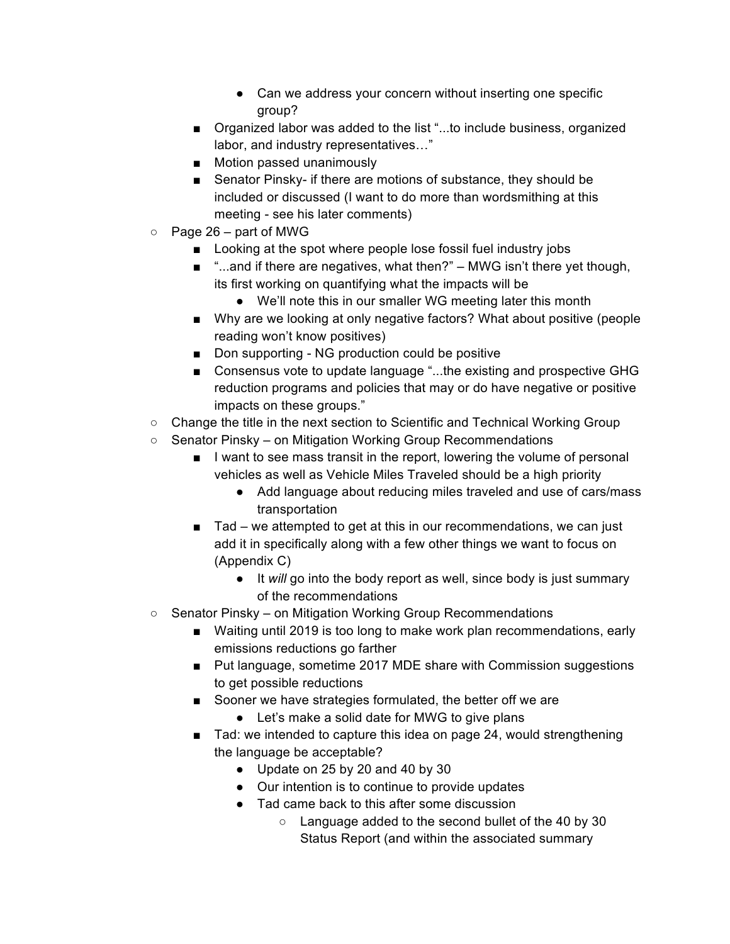- Can we address your concern without inserting one specific group?
- Organized labor was added to the list "...to include business, organized labor, and industry representatives…"
- Motion passed unanimously
- Senator Pinsky- if there are motions of substance, they should be included or discussed (I want to do more than wordsmithing at this meeting - see his later comments)
- $\circ$  Page 26 part of MWG
	- Looking at the spot where people lose fossil fuel industry jobs
	- "...and if there are negatives, what then?" MWG isn't there yet though, its first working on quantifying what the impacts will be
		- We'll note this in our smaller WG meeting later this month
	- Why are we looking at only negative factors? What about positive (people reading won't know positives)
	- Don supporting NG production could be positive
	- Consensus vote to update language "...the existing and prospective GHG reduction programs and policies that may or do have negative or positive impacts on these groups."
- Change the title in the next section to Scientific and Technical Working Group
- Senator Pinsky on Mitigation Working Group Recommendations
	- I want to see mass transit in the report, lowering the volume of personal vehicles as well as Vehicle Miles Traveled should be a high priority
		- Add language about reducing miles traveled and use of cars/mass transportation
	- Tad we attempted to get at this in our recommendations, we can just add it in specifically along with a few other things we want to focus on (Appendix C)
		- It *will* go into the body report as well, since body is just summary of the recommendations
- Senator Pinsky on Mitigation Working Group Recommendations
	- Waiting until 2019 is too long to make work plan recommendations, early emissions reductions go farther
	- Put language, sometime 2017 MDE share with Commission suggestions to get possible reductions
	- Sooner we have strategies formulated, the better off we are
		- Let's make a solid date for MWG to give plans
	- Tad: we intended to capture this idea on page 24, would strengthening the language be acceptable?
		- Update on 25 by 20 and 40 by 30
		- Our intention is to continue to provide updates
		- Tad came back to this after some discussion
			- Language added to the second bullet of the 40 by 30 Status Report (and within the associated summary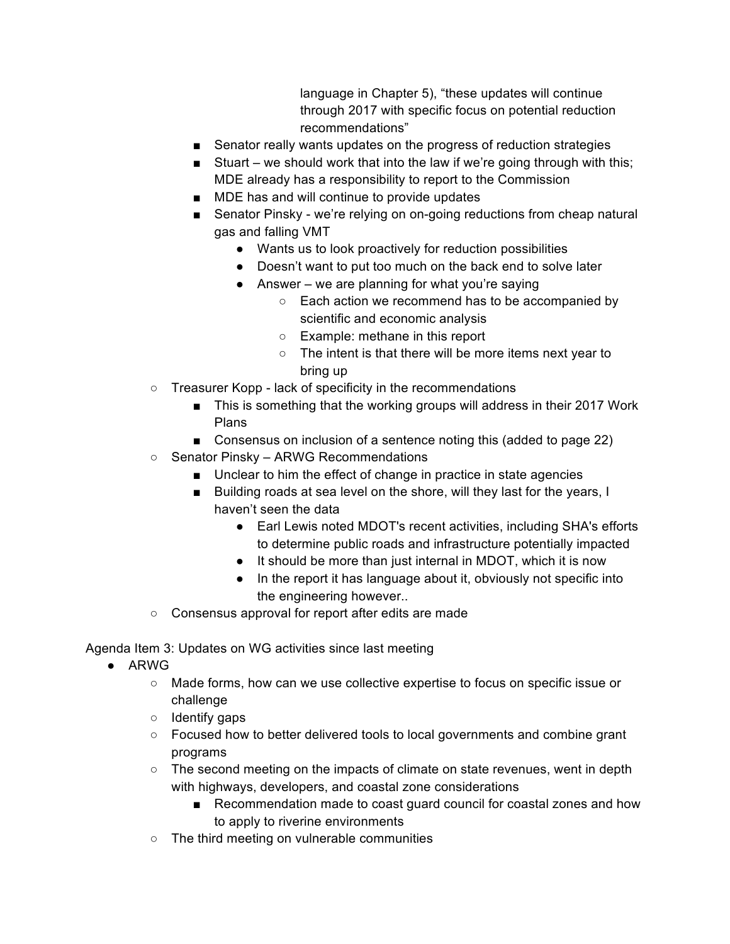language in Chapter 5), "these updates will continue through 2017 with specific focus on potential reduction recommendations"

- Senator really wants updates on the progress of reduction strategies
- Stuart we should work that into the law if we're going through with this; MDE already has a responsibility to report to the Commission
- MDE has and will continue to provide updates
- Senator Pinsky we're relying on on-going reductions from cheap natural gas and falling VMT
	- Wants us to look proactively for reduction possibilities
	- Doesn't want to put too much on the back end to solve later
	- $\bullet$  Answer we are planning for what you're saying
		- Each action we recommend has to be accompanied by scientific and economic analysis
		- Example: methane in this report
		- The intent is that there will be more items next year to bring up
- Treasurer Kopp lack of specificity in the recommendations
	- This is something that the working groups will address in their 2017 Work Plans
	- Consensus on inclusion of a sentence noting this (added to page 22)
- Senator Pinsky ARWG Recommendations
	- Unclear to him the effect of change in practice in state agencies
	- Building roads at sea level on the shore, will they last for the years, I haven't seen the data
		- Earl Lewis noted MDOT's recent activities, including SHA's efforts to determine public roads and infrastructure potentially impacted
		- It should be more than just internal in MDOT, which it is now
		- In the report it has language about it, obviously not specific into the engineering however..
- Consensus approval for report after edits are made

Agenda Item 3: Updates on WG activities since last meeting

- ARWG
	- Made forms, how can we use collective expertise to focus on specific issue or challenge
	- Identify gaps
	- Focused how to better delivered tools to local governments and combine grant programs
	- The second meeting on the impacts of climate on state revenues, went in depth with highways, developers, and coastal zone considerations
		- Recommendation made to coast guard council for coastal zones and how to apply to riverine environments
	- The third meeting on vulnerable communities